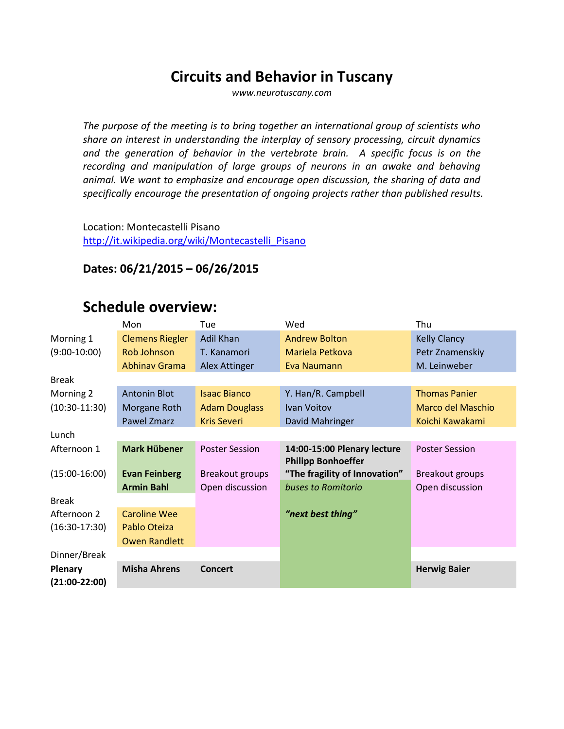### **Circuits and Behavior in Tuscany**

*www.neurotuscany.com*

*The purpose of the meeting is to bring together an international group of scientists who share an interest in understanding the interplay of sensory processing, circuit dynamics and the generation of behavior in the vertebrate brain. A specific focus is on the recording and manipulation of large groups of neurons in an awake and behaving animal. We want to emphasize and encourage open discussion, the sharing of data and specifically encourage the presentation of ongoing projects rather than published results.*

Location: Montecastelli Pisano [http://it.wikipedia.org/wiki/Montecastelli\\_Pisano](http://it.wikipedia.org/wiki/Montecastelli_Pisano)

#### **Dates: 06/21/2015 – 06/26/2015**

### **Schedule overview:**

| <b>Andrew Bolton</b><br><b>Kelly Clancy</b><br>Morning 1<br><b>Clemens Riegler</b><br>Adil Khan<br>$(9:00-10:00)$<br>Rob Johnson<br>Mariela Petkova<br>Petr Znamenskiy<br>T. Kanamori<br><b>Abhinav Grama</b><br>M. Leinweber<br>Alex Attinger<br>Eva Naumann<br><b>Break</b><br><b>Antonin Blot</b><br>Y. Han/R. Campbell<br><b>Isaac Bianco</b><br><b>Thomas Panier</b><br>Morning 2<br>$(10:30-11:30)$<br>Marco del Maschio<br>Morgane Roth<br><b>Adam Douglass</b><br>Ivan Voitov<br>Pawel Zmarz<br><b>Kris Severi</b><br>David Mahringer<br>Koichi Kawakami<br>Lunch<br><b>Mark Hübener</b><br>Afternoon 1 | Wed<br>Thu<br>Tue                                    |                       |
|-----------------------------------------------------------------------------------------------------------------------------------------------------------------------------------------------------------------------------------------------------------------------------------------------------------------------------------------------------------------------------------------------------------------------------------------------------------------------------------------------------------------------------------------------------------------------------------------------------------------|------------------------------------------------------|-----------------------|
|                                                                                                                                                                                                                                                                                                                                                                                                                                                                                                                                                                                                                 |                                                      |                       |
|                                                                                                                                                                                                                                                                                                                                                                                                                                                                                                                                                                                                                 |                                                      |                       |
|                                                                                                                                                                                                                                                                                                                                                                                                                                                                                                                                                                                                                 |                                                      |                       |
|                                                                                                                                                                                                                                                                                                                                                                                                                                                                                                                                                                                                                 |                                                      |                       |
|                                                                                                                                                                                                                                                                                                                                                                                                                                                                                                                                                                                                                 |                                                      |                       |
|                                                                                                                                                                                                                                                                                                                                                                                                                                                                                                                                                                                                                 |                                                      |                       |
|                                                                                                                                                                                                                                                                                                                                                                                                                                                                                                                                                                                                                 |                                                      |                       |
|                                                                                                                                                                                                                                                                                                                                                                                                                                                                                                                                                                                                                 |                                                      |                       |
|                                                                                                                                                                                                                                                                                                                                                                                                                                                                                                                                                                                                                 | <b>Poster Session</b><br>14:00-15:00 Plenary lecture | <b>Poster Session</b> |
| <b>Philipp Bonhoeffer</b>                                                                                                                                                                                                                                                                                                                                                                                                                                                                                                                                                                                       |                                                      |                       |
| $(15:00-16:00)$<br><b>Evan Feinberg</b><br>Breakout groups<br>"The fragility of Innovation"<br>Breakout groups                                                                                                                                                                                                                                                                                                                                                                                                                                                                                                  |                                                      |                       |
| <b>Armin Bahl</b><br>Open discussion<br>Open discussion<br>buses to Romitorio                                                                                                                                                                                                                                                                                                                                                                                                                                                                                                                                   |                                                      |                       |
| <b>Break</b>                                                                                                                                                                                                                                                                                                                                                                                                                                                                                                                                                                                                    |                                                      |                       |
| Caroline Wee<br>"next best thing"<br>Afternoon 2                                                                                                                                                                                                                                                                                                                                                                                                                                                                                                                                                                |                                                      |                       |
| $(16:30-17:30)$<br>Pablo Oteiza                                                                                                                                                                                                                                                                                                                                                                                                                                                                                                                                                                                 |                                                      |                       |
| <b>Owen Randlett</b>                                                                                                                                                                                                                                                                                                                                                                                                                                                                                                                                                                                            |                                                      |                       |
| Dinner/Break                                                                                                                                                                                                                                                                                                                                                                                                                                                                                                                                                                                                    |                                                      |                       |
| <b>Misha Ahrens</b><br>Plenary<br><b>Herwig Baier</b><br><b>Concert</b>                                                                                                                                                                                                                                                                                                                                                                                                                                                                                                                                         |                                                      |                       |
| $(21:00-22:00)$                                                                                                                                                                                                                                                                                                                                                                                                                                                                                                                                                                                                 |                                                      |                       |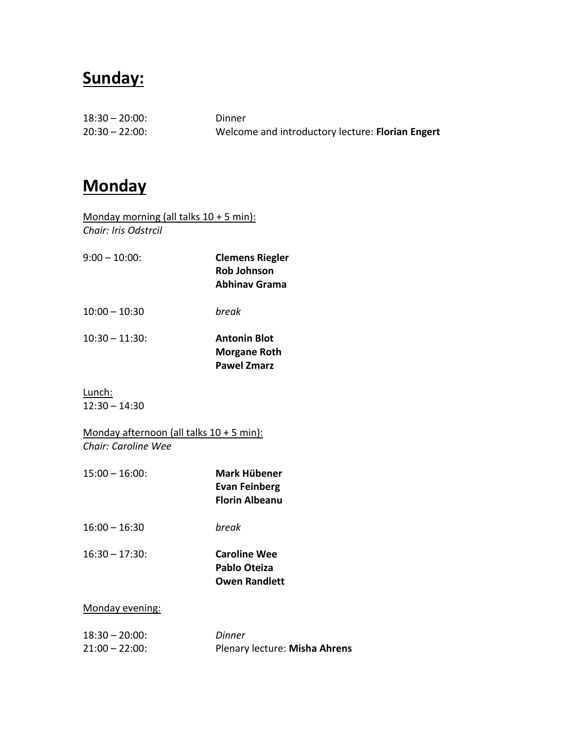### **Sunday:**

| $18:30 - 20:00$ : | Dinner                                           |
|-------------------|--------------------------------------------------|
| $20:30 - 22:00$   | Welcome and introductory lecture: Florian Engert |

### **Monday**

- Monday morning (all talks  $10 + 5$  min): *Chair: Iris Odstrcil*
- 9:00 10:00: **Clemens Riegler Rob Johnson Abhinav Grama**
- 10:00 10:30 *break*
- 10:30 11:30: **Antonin Blot Morgane Roth Pawel Zmarz**
- Lunch: 12:30 – 14:30

Monday afternoon (all talks 10 + 5 min): *Chair: Caroline Wee*

- 15:00 16:00: **Mark Hübener**
	- **Evan Feinberg Florin Albeanu**
- 16:00 16:30 *break*
- 

16:30 – 17:30: **Caroline Wee Pablo Oteiza Owen Randlett**

#### Monday evening:

| $18:30 - 20:00$ : | Dinner                        |
|-------------------|-------------------------------|
| $21:00 - 22:00$ : | Plenary lecture: Misha Ahrens |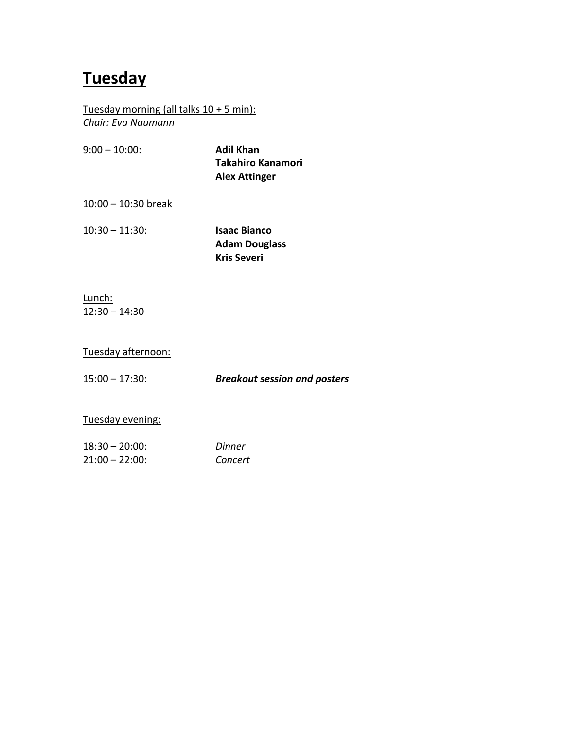## **Tuesday**

Tuesday morning (all talks 10 + 5 min): *Chair: Eva Naumann*

| $9:00 - 10:00$ | Adil Khan                |
|----------------|--------------------------|
|                | <b>Takahiro Kanamori</b> |
|                | <b>Alex Attinger</b>     |

10:00 – 10:30 break

10:30 – 11:30: **Isaac Bianco**

**Adam Douglass Kris Severi**

Lunch: 12:30 – 14:30

#### Tuesday afternoon:

15:00 – 17:30: *Breakout session and posters*

#### Tuesday evening:

| $18:30 - 20:00$ | Dinner  |
|-----------------|---------|
| 21:00 – 22:00:  | Concert |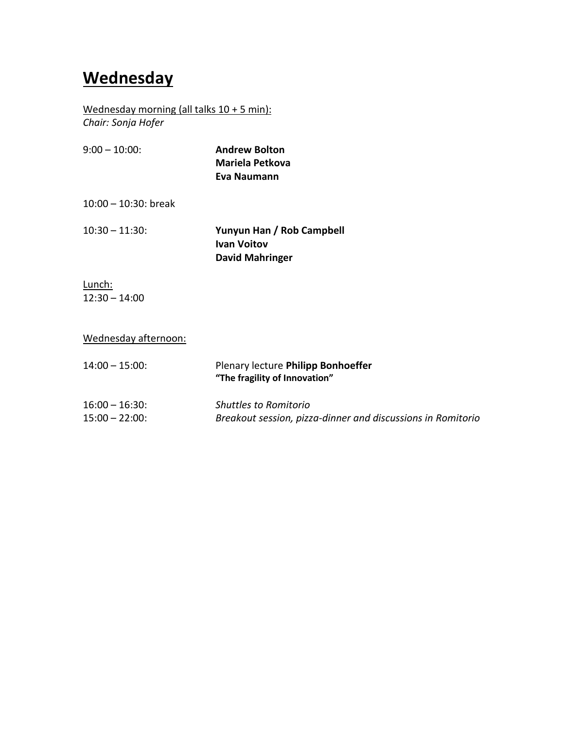# **Wednesday**

Wednesday morning (all talks 10 + 5 min):

*Chair: Sonja Hofer*

| $9:00 - 10:00$ :        | <b>Andrew Bolton</b><br>Mariela Petkova<br>Eva Naumann                    |
|-------------------------|---------------------------------------------------------------------------|
| $10:00 - 10:30$ : break |                                                                           |
| $10:30 - 11:30$ :       | Yunyun Han / Rob Campbell<br><b>Ivan Voitov</b><br><b>David Mahringer</b> |

Lunch: 12:30 – 14:00

| Wednesday afternoon: |
|----------------------|
|----------------------|

| $14:00 - 15:00$   | Plenary lecture Philipp Bonhoeffer<br>"The fragility of Innovation" |
|-------------------|---------------------------------------------------------------------|
| $16:00 - 16:30$ : | <b>Shuttles to Romitorio</b>                                        |
| $15:00 - 22:00$ : | Breakout session, pizza-dinner and discussions in Romitorio         |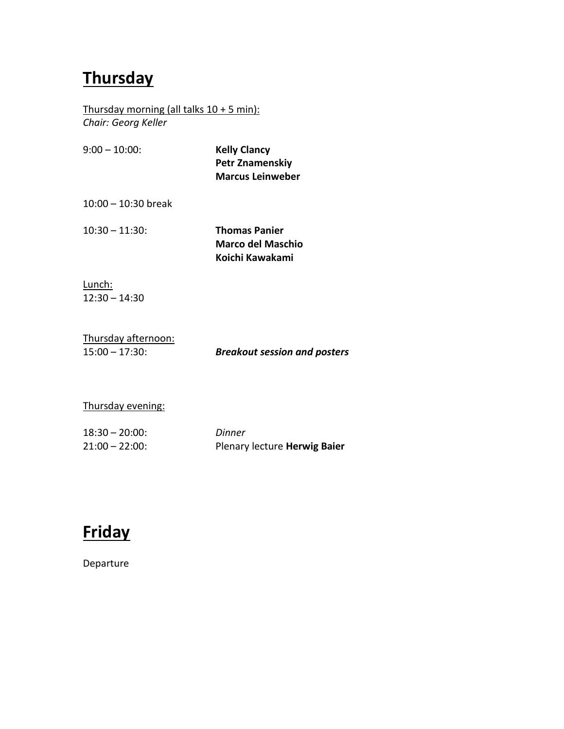# **Thursday**

Thursday morning (all talks  $10 + 5$  min): *Chair: Georg Keller*

| $9:00 - 10:00$        | <b>Kelly Clancy</b><br><b>Petr Znamenskiy</b><br><b>Marcus Leinweber</b> |
|-----------------------|--------------------------------------------------------------------------|
| $10:00 - 10:30$ break |                                                                          |
| $10:30 - 11:30$       | <b>Thomas Panier</b><br>Marco del Maschio<br>Koichi Kawakami             |

Lunch: 12:30 – 14:30

| Thursday afternoon: |            |
|---------------------|------------|
| $15:00 - 17:30$     | <b>Bre</b> |

15:00 – 17:30: *Breakout session and posters*

#### Thursday evening:

| $18:30 - 20:00$ : | Dinner                       |
|-------------------|------------------------------|
| $21:00 - 22:00$   | Plenary lecture Herwig Baier |



Departure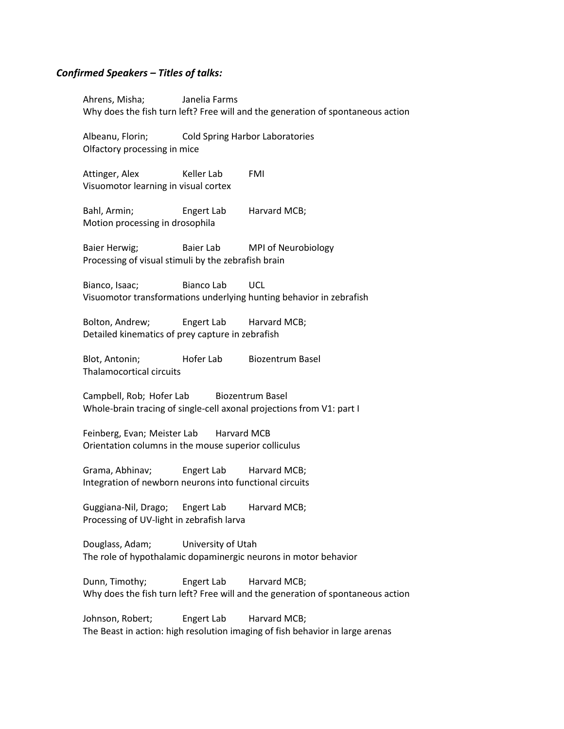#### *Confirmed Speakers – Titles of talks:*

Ahrens, Misha; Janelia Farms Why does the fish turn left? Free will and the generation of spontaneous action

Albeanu, Florin; Cold Spring Harbor Laboratories Olfactory processing in mice

Attinger, Alex Keller Lab FMI Visuomotor learning in visual cortex

Bahl, Armin; Engert Lab Harvard MCB; Motion processing in drosophila

Baier Herwig; Baier Lab MPI of Neurobiology Processing of visual stimuli by the zebrafish brain

Bianco, Isaac; Bianco Lab UCL Visuomotor transformations underlying hunting behavior in zebrafish

Bolton, Andrew; Engert Lab Harvard MCB; Detailed kinematics of prey capture in zebrafish

Blot, Antonin; Hofer Lab Biozentrum Basel Thalamocortical circuits

Campbell, Rob; Hofer Lab Biozentrum Basel Whole-brain tracing of single-cell axonal projections from V1: part I

Feinberg, Evan; Meister Lab Harvard MCB Orientation columns in the mouse superior colliculus

Grama, Abhinav; Engert Lab Harvard MCB; Integration of newborn neurons into functional circuits

Guggiana-Nil, Drago; Engert Lab Harvard MCB; Processing of UV-light in zebrafish larva

Douglass, Adam; University of Utah The role of hypothalamic dopaminergic neurons in motor behavior

Dunn, Timothy; Engert Lab Harvard MCB; Why does the fish turn left? Free will and the generation of spontaneous action

Johnson, Robert; Engert Lab Harvard MCB; The Beast in action: high resolution imaging of fish behavior in large arenas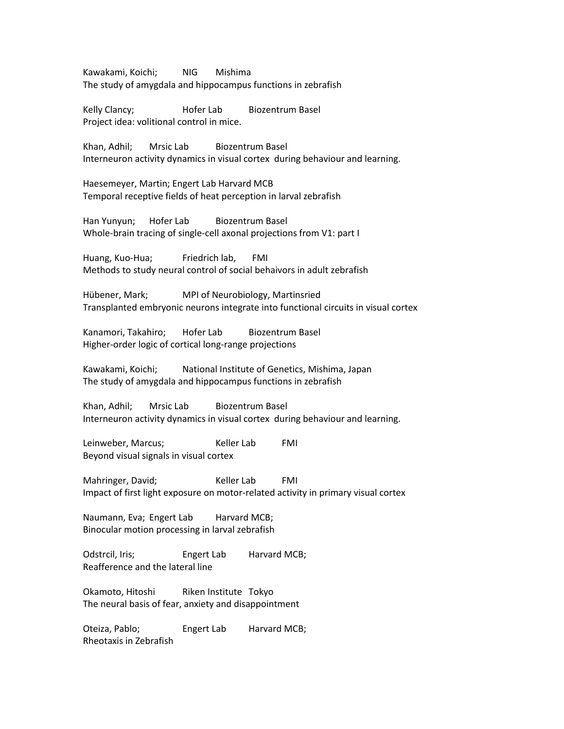Kawakami, Koichi; NIG Mishima The study of amygdala and hippocampus functions in zebrafish

Kelly Clancy; The Hofer Lab Biozentrum Basel Project idea: volitional control in mice.

Khan, Adhil; Mrsic Lab Biozentrum Basel Interneuron activity dynamics in visual cortex during behaviour and learning.

Haesemeyer, Martin; Engert Lab Harvard MCB Temporal receptive fields of heat perception in larval zebrafish

Han Yunyun; Hofer Lab Biozentrum Basel Whole-brain tracing of single-cell axonal projections from V1: part I

Huang, Kuo-Hua; Friedrich lab, FMI Methods to study neural control of social behaivors in adult zebrafish

Hübener, Mark; MPI of Neurobiology, Martinsried Transplanted embryonic neurons integrate into functional circuits in visual cortex

Kanamori, Takahiro; Hofer Lab Biozentrum Basel Higher-order logic of cortical long-range projections

Kawakami, Koichi; National Institute of Genetics, Mishima, Japan The study of amygdala and hippocampus functions in zebrafish

Khan, Adhil; Mrsic Lab Biozentrum Basel Interneuron activity dynamics in visual cortex during behaviour and learning.

Leinweber, Marcus; The Keller Lab FMI Beyond visual signals in visual cortex

Mahringer, David; The Reller Lab FMI Impact of first light exposure on motor-related activity in primary visual cortex

Naumann, Eva; Engert Lab Harvard MCB; Binocular motion processing in larval zebrafish

Odstrcil, Iris; Engert Lab Harvard MCB; Reafference and the lateral line

Okamoto, Hitoshi Riken Institute Tokyo The neural basis of fear, anxiety and disappointment

Oteiza, Pablo; Engert Lab Harvard MCB; Rheotaxis in Zebrafish